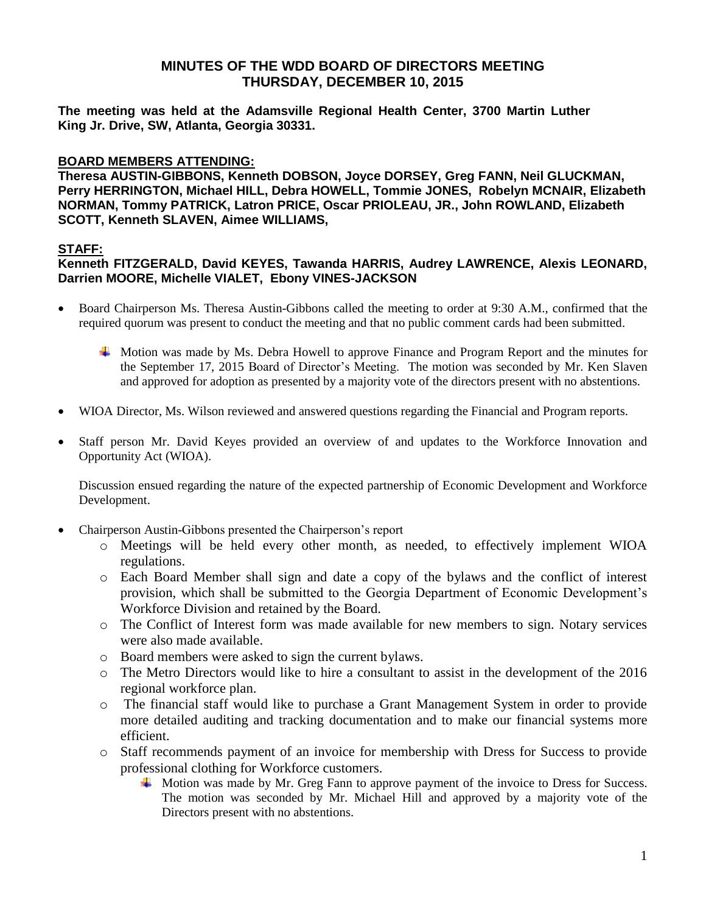**The meeting was held at the Adamsville Regional Health Center, 3700 Martin Luther King Jr. Drive, SW, Atlanta, Georgia 30331.** 

#### **BOARD MEMBERS ATTENDING:**

**Theresa AUSTIN-GIBBONS, Kenneth DOBSON, Joyce DORSEY, Greg FANN, Neil GLUCKMAN, Perry HERRINGTON, Michael HILL, Debra HOWELL, Tommie JONES, Robelyn MCNAIR, Elizabeth NORMAN, Tommy PATRICK, Latron PRICE, Oscar PRIOLEAU, JR., John ROWLAND, Elizabeth SCOTT, Kenneth SLAVEN, Aimee WILLIAMS,** 

#### **STAFF:**

#### **Kenneth FITZGERALD, David KEYES, Tawanda HARRIS, Audrey LAWRENCE, Alexis LEONARD, Darrien MOORE, Michelle VIALET, Ebony VINES-JACKSON**

- Board Chairperson Ms. Theresa Austin-Gibbons called the meeting to order at 9:30 A.M., confirmed that the required quorum was present to conduct the meeting and that no public comment cards had been submitted.
	- Motion was made by Ms. Debra Howell to approve Finance and Program Report and the minutes for the September 17, 2015 Board of Director's Meeting. The motion was seconded by Mr. Ken Slaven and approved for adoption as presented by a majority vote of the directors present with no abstentions.
- WIOA Director, Ms. Wilson reviewed and answered questions regarding the Financial and Program reports.
- Staff person Mr. David Keyes provided an overview of and updates to the Workforce Innovation and Opportunity Act (WIOA).

Discussion ensued regarding the nature of the expected partnership of Economic Development and Workforce Development.

- Chairperson Austin-Gibbons presented the Chairperson's report
	- o Meetings will be held every other month, as needed, to effectively implement WIOA regulations.
	- o Each Board Member shall sign and date a copy of the bylaws and the conflict of interest provision, which shall be submitted to the Georgia Department of Economic Development's Workforce Division and retained by the Board.
	- o The Conflict of Interest form was made available for new members to sign. Notary services were also made available.
	- o Board members were asked to sign the current bylaws.
	- o The Metro Directors would like to hire a consultant to assist in the development of the 2016 regional workforce plan.
	- o The financial staff would like to purchase a Grant Management System in order to provide more detailed auditing and tracking documentation and to make our financial systems more efficient.
	- o Staff recommends payment of an invoice for membership with Dress for Success to provide professional clothing for Workforce customers.
		- $\blacktriangle$  Motion was made by Mr. Greg Fann to approve payment of the invoice to Dress for Success. The motion was seconded by Mr. Michael Hill and approved by a majority vote of the Directors present with no abstentions.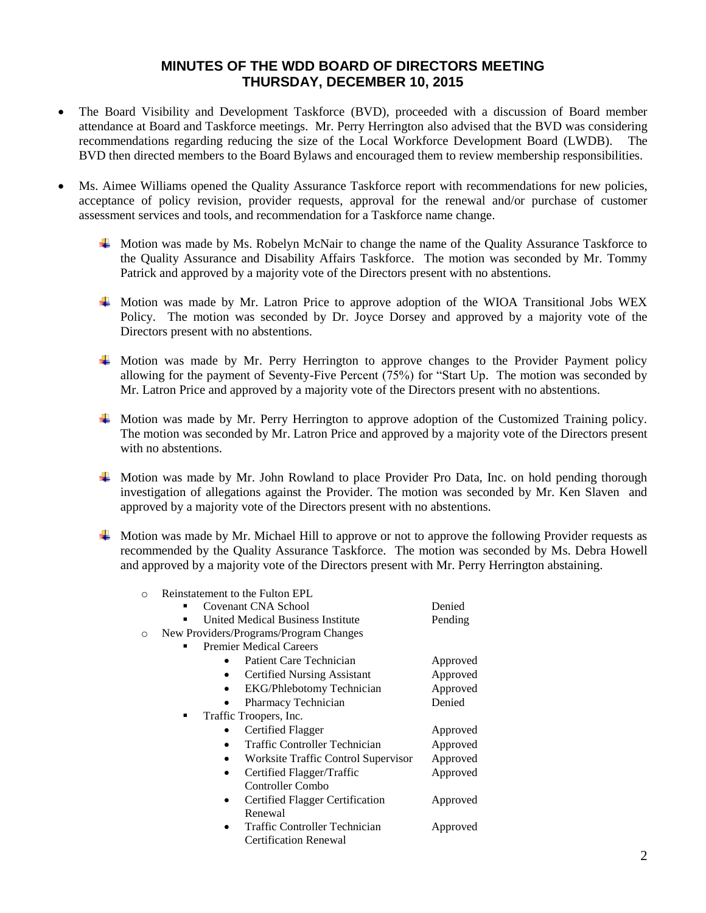- The Board Visibility and Development Taskforce (BVD), proceeded with a discussion of Board member attendance at Board and Taskforce meetings. Mr. Perry Herrington also advised that the BVD was considering recommendations regarding reducing the size of the Local Workforce Development Board (LWDB). The BVD then directed members to the Board Bylaws and encouraged them to review membership responsibilities.
- Ms. Aimee Williams opened the Quality Assurance Taskforce report with recommendations for new policies, acceptance of policy revision, provider requests, approval for the renewal and/or purchase of customer assessment services and tools, and recommendation for a Taskforce name change.
	- $\blacktriangle$  Motion was made by Ms. Robelyn McNair to change the name of the Quality Assurance Taskforce to the Quality Assurance and Disability Affairs Taskforce. The motion was seconded by Mr. Tommy Patrick and approved by a majority vote of the Directors present with no abstentions.
	- Motion was made by Mr. Latron Price to approve adoption of the WIOA Transitional Jobs WEX Policy. The motion was seconded by Dr. Joyce Dorsey and approved by a majority vote of the Directors present with no abstentions.
	- $\overline{\phantom{a}}$  Motion was made by Mr. Perry Herrington to approve changes to the Provider Payment policy allowing for the payment of Seventy-Five Percent (75%) for "Start Up. The motion was seconded by Mr. Latron Price and approved by a majority vote of the Directors present with no abstentions.
	- Motion was made by Mr. Perry Herrington to approve adoption of the Customized Training policy. The motion was seconded by Mr. Latron Price and approved by a majority vote of the Directors present with no abstentions.
	- Motion was made by Mr. John Rowland to place Provider Pro Data, Inc. on hold pending thorough investigation of allegations against the Provider. The motion was seconded by Mr. Ken Slaven and approved by a majority vote of the Directors present with no abstentions.
	- Motion was made by Mr. Michael Hill to approve or not to approve the following Provider requests as recommended by the Quality Assurance Taskforce. The motion was seconded by Ms. Debra Howell and approved by a majority vote of the Directors present with Mr. Perry Herrington abstaining.

| $\Omega$ | Reinstatement to the Fulton EPL        |          |
|----------|----------------------------------------|----------|
|          | Covenant CNA School                    | Denied   |
|          | United Medical Business Institute      | Pending  |
| O        | New Providers/Programs/Program Changes |          |
|          | <b>Premier Medical Careers</b>         |          |
|          | Patient Care Technician                | Approved |
|          | <b>Certified Nursing Assistant</b>     | Approved |
|          | <b>EKG/Phlebotomy Technician</b>       | Approved |
|          | Pharmacy Technician                    | Denied   |
|          | Traffic Troopers, Inc.<br>٠            |          |
|          | Certified Flagger                      | Approved |
|          | Traffic Controller Technician          | Approved |
|          | Worksite Traffic Control Supervisor    | Approved |
|          | Certified Flagger/Traffic              | Approved |
|          | Controller Combo                       |          |
|          | Certified Flagger Certification        | Approved |
|          | Renewal                                |          |
|          | Traffic Controller Technician          | Approved |
|          | <b>Certification Renewal</b>           |          |
|          |                                        |          |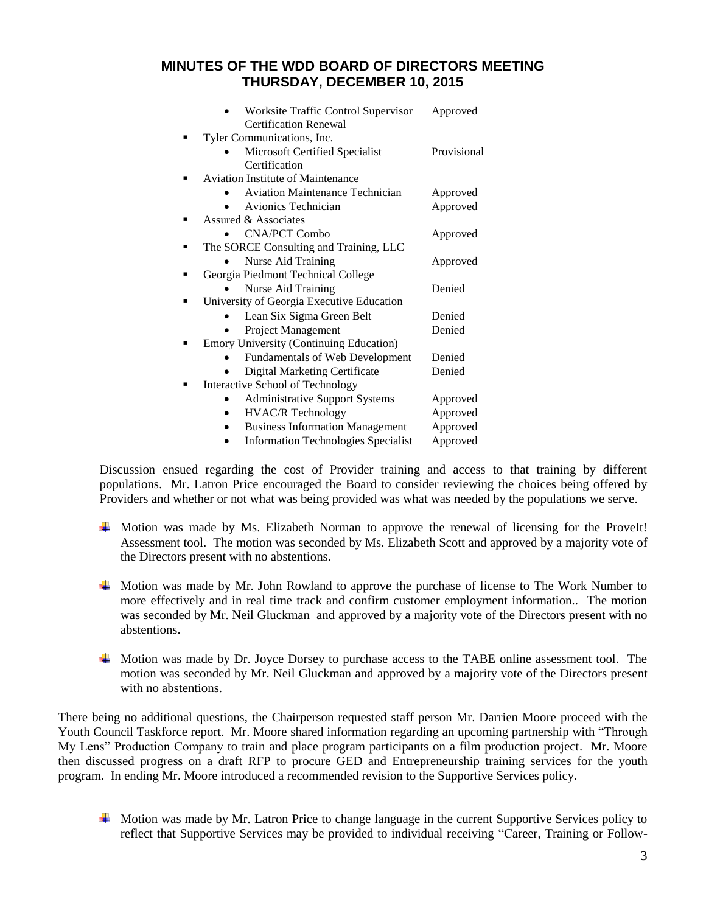| Worksite Traffic Control Supervisor            | Approved    |
|------------------------------------------------|-------------|
| <b>Certification Renewal</b>                   |             |
| Tyler Communications, Inc.                     |             |
| Microsoft Certified Specialist                 | Provisional |
| Certification                                  |             |
| <b>Aviation Institute of Maintenance</b>       |             |
| <b>Aviation Maintenance Technician</b>         | Approved    |
| Avionics Technician                            | Approved    |
| Assured & Associates                           |             |
| <b>CNA/PCT Combo</b>                           | Approved    |
| The SORCE Consulting and Training, LLC         |             |
| Nurse Aid Training                             | Approved    |
| Georgia Piedmont Technical College             |             |
| Nurse Aid Training                             | Denied      |
| University of Georgia Executive Education      |             |
| Lean Six Sigma Green Belt                      | Denied      |
| <b>Project Management</b>                      | Denied      |
| <b>Emory University (Continuing Education)</b> |             |
| Fundamentals of Web Development                | Denied      |
| Digital Marketing Certificate                  | Denied      |
| Interactive School of Technology               |             |
| <b>Administrative Support Systems</b>          | Approved    |
| <b>HVAC/R Technology</b>                       | Approved    |
| <b>Business Information Management</b>         | Approved    |
| <b>Information Technologies Specialist</b>     | Approved    |
|                                                |             |

Discussion ensued regarding the cost of Provider training and access to that training by different populations. Mr. Latron Price encouraged the Board to consider reviewing the choices being offered by Providers and whether or not what was being provided was what was needed by the populations we serve.

- Motion was made by Ms. Elizabeth Norman to approve the renewal of licensing for the ProveIt! Assessment tool. The motion was seconded by Ms. Elizabeth Scott and approved by a majority vote of the Directors present with no abstentions.
- Motion was made by Mr. John Rowland to approve the purchase of license to The Work Number to more effectively and in real time track and confirm customer employment information.. The motion was seconded by Mr. Neil Gluckman and approved by a majority vote of the Directors present with no abstentions.
- $\overline{\phantom{a}}$  Motion was made by Dr. Joyce Dorsey to purchase access to the TABE online assessment tool. The motion was seconded by Mr. Neil Gluckman and approved by a majority vote of the Directors present with no abstentions.

There being no additional questions, the Chairperson requested staff person Mr. Darrien Moore proceed with the Youth Council Taskforce report. Mr. Moore shared information regarding an upcoming partnership with "Through My Lens" Production Company to train and place program participants on a film production project. Mr. Moore then discussed progress on a draft RFP to procure GED and Entrepreneurship training services for the youth program. In ending Mr. Moore introduced a recommended revision to the Supportive Services policy.

 $\blacktriangle$  Motion was made by Mr. Latron Price to change language in the current Supportive Services policy to reflect that Supportive Services may be provided to individual receiving "Career, Training or Follow-